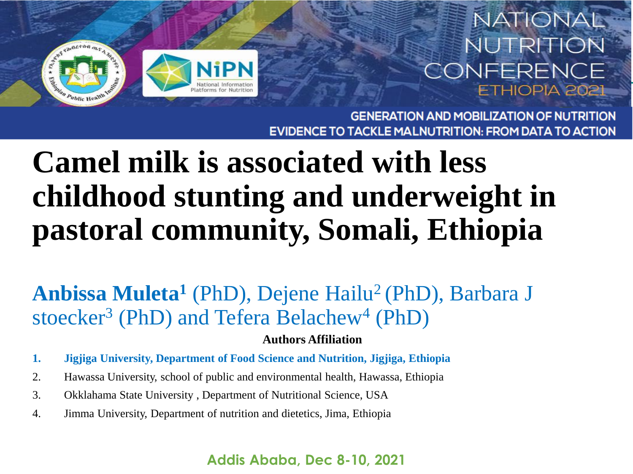

### **NATIONAL** NUTRITION CONFERENCE **HIOPIA 202**

**GENERATION AND MOBILIZATION OF NUTRITION TACKLE MALNUTRITION: FROM DATA TO ACTION** 

## **Camel milk is associated with less childhood stunting and underweight in pastoral community, Somali, Ethiopia**

Anbissa Muleta<sup>1</sup> (PhD), Dejene Hailu<sup>2</sup> (PhD), Barbara J stoecker<sup>3</sup> (PhD) and Tefera Belachew<sup>4</sup> (PhD)

#### **Authors Affiliation**

- **1. Jigjiga University, Department of Food Science and Nutrition, Jigjiga, Ethiopia**
- 2. Hawassa University, school of public and environmental health, Hawassa, Ethiopia
- 3. Okklahama State University , Department of Nutritional Science, USA
- 4. Jimma University, Department of nutrition and dietetics, Jima, Ethiopia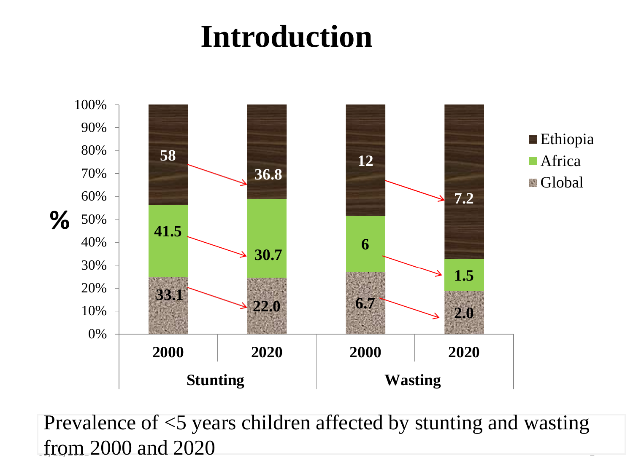## **Introduction**



from 2000 and 2020 Prevalence of <5 years children affected by stunting and wasting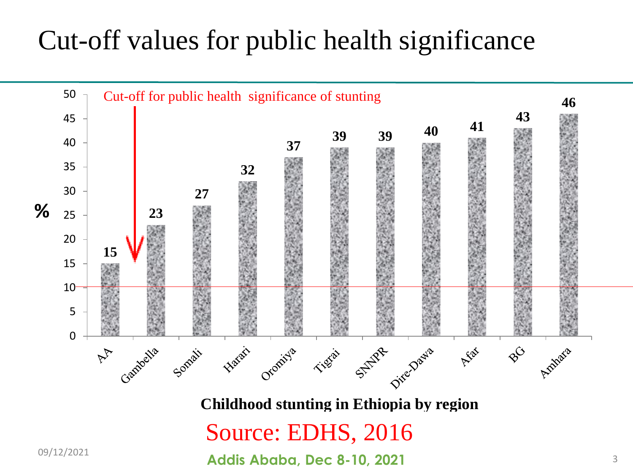### Cut-off values for public health significance



**Childhood stunting in Ethiopia by region** 

### Source: EDHS, 2016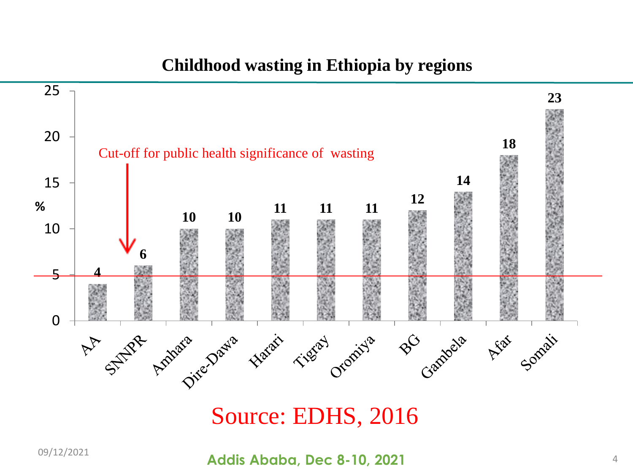#### **Childhood wasting in Ethiopia by regions**



#### Source: EDHS, 2016

**Addis Ababa, Dec 8-10, 2021** 09/12/2021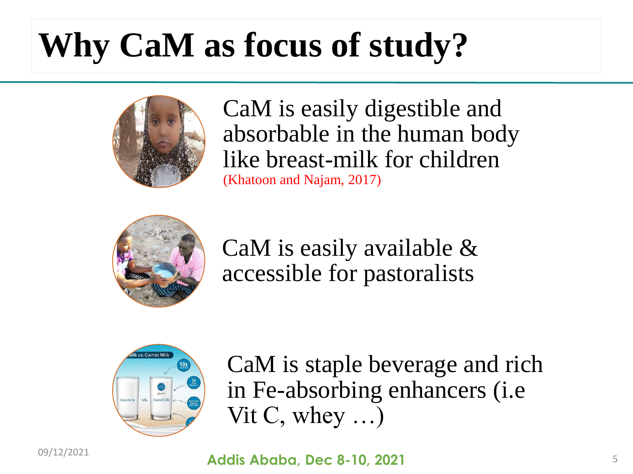# **Why CaM as focus of study?**



CaM is easily digestible and absorbable in the human body like breast-milk for children (Khatoon and Najam, 2017)



CaM is easily available & accessible for pastoralists



CaM is staple beverage and rich in Fe-absorbing enhancers (i.e Vit C, whey …)

09/12/2021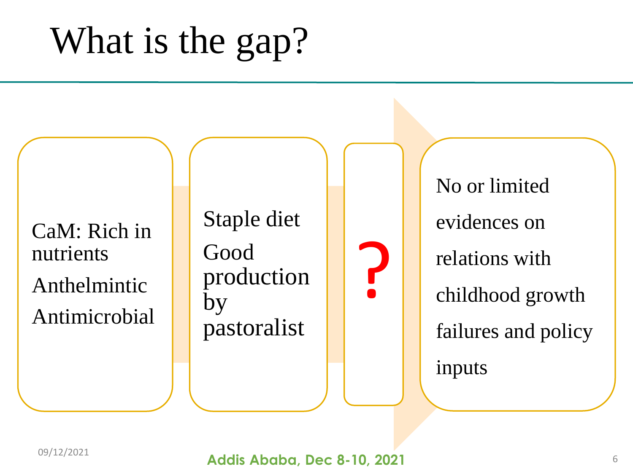# What is the gap?

CaM: Rich in nutrients Anthelmintic Antimicrobial Staple diet Good production by pastoralist

No or limited evidences on relations with childhood growth failures and policy inputs

?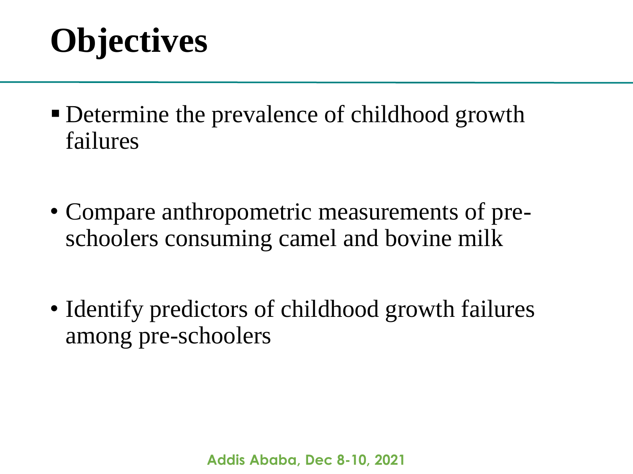## **Objectives**

- Determine the prevalence of childhood growth failures
- Compare anthropometric measurements of preschoolers consuming camel and bovine milk
- Identify predictors of childhood growth failures among pre-schoolers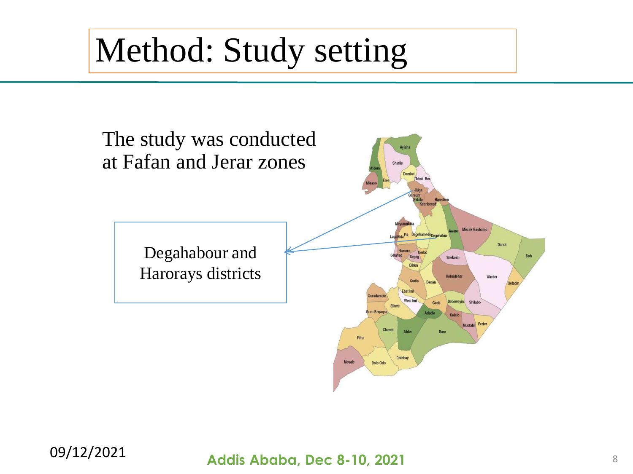## Method: Study setting



#### **Addis Ababa, Dec 8-10, 2021** 09/12/2021 <sup>8</sup>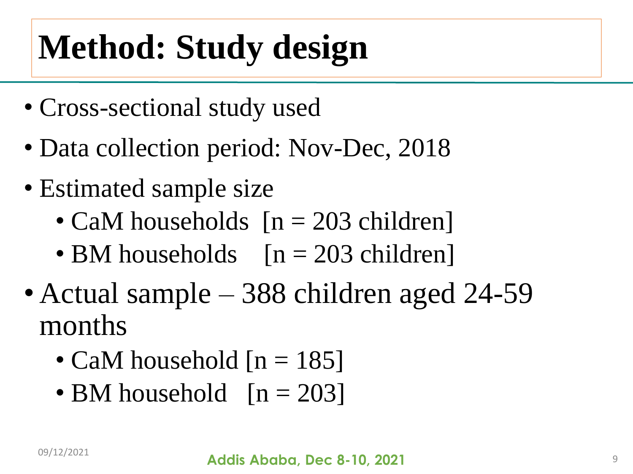# **Method: Study design**

- Cross-sectional study used
- Data collection period: Nov-Dec, 2018
- Estimated sample size
	- CaM households  $[n = 203$  children]
	- BM households  $[n = 203 \text{ children}]$
- Actual sample 388 children aged 24-59 months
	- CaM household  $[n = 185]$
	- BM household  $[n = 203]$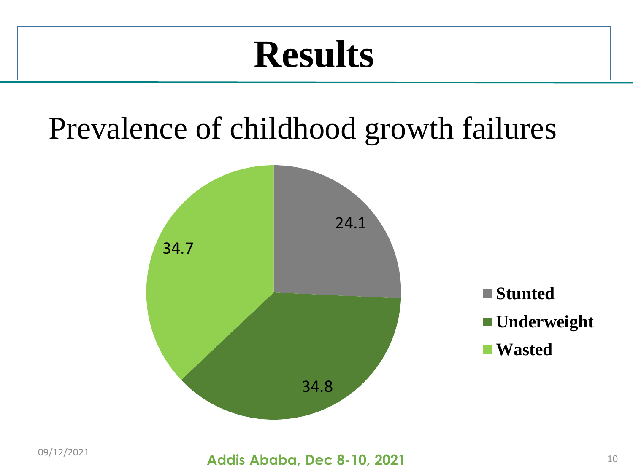## **Results**

## Prevalence of childhood growth failures

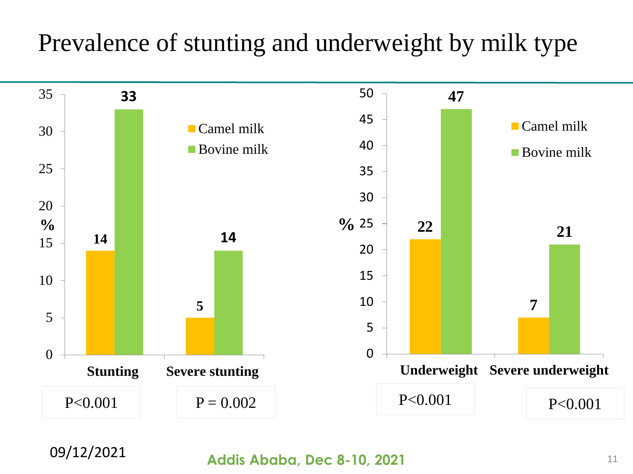### Prevalence of stunting and underweight by milk type



**09/12/2021 Addis Ababa, Dec 8-10, 2021** 11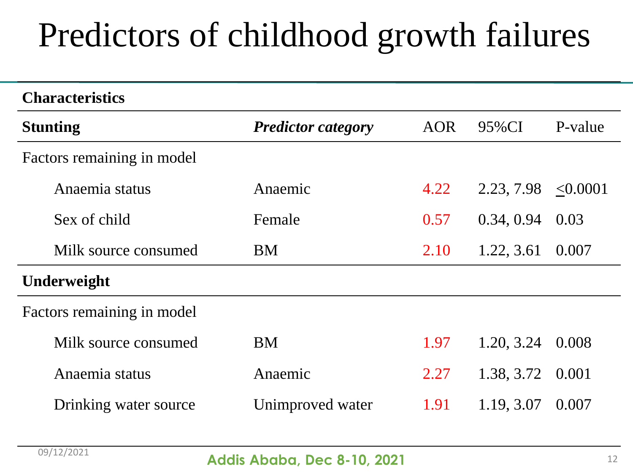## Predictors of childhood growth failures

| <b>Characteristics</b>     |                           |            |            |          |
|----------------------------|---------------------------|------------|------------|----------|
| <b>Stunting</b>            | <b>Predictor category</b> | <b>AOR</b> | 95%CI      | P-value  |
| Factors remaining in model |                           |            |            |          |
| Anaemia status             | Anaemic                   | 4.22       | 2.23, 7.98 | < 0.0001 |
| Sex of child               | Female                    | 0.57       | 0.34, 0.94 | 0.03     |
| Milk source consumed       | <b>BM</b>                 | 2.10       | 1.22, 3.61 | 0.007    |
| Underweight                |                           |            |            |          |
| Factors remaining in model |                           |            |            |          |
| Milk source consumed       | <b>BM</b>                 | 1.97       | 1.20, 3.24 | 0.008    |
| Anaemia status             | Anaemic                   | 2.27       | 1.38, 3.72 | 0.001    |
| Drinking water source      | Unimproved water          | 1.91       | 1.19, 3.07 | 0.007    |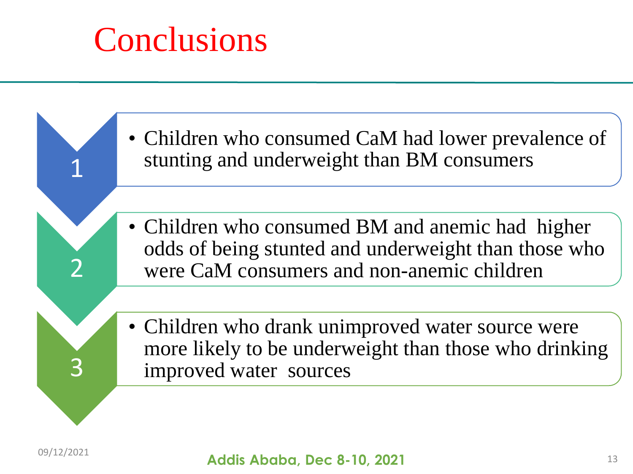## **Conclusions**

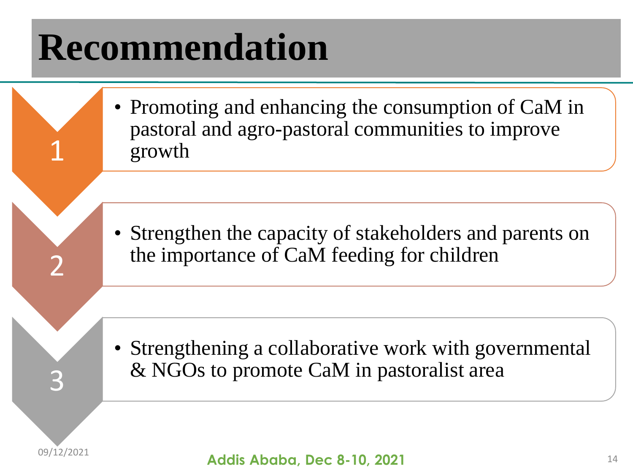# **Recommendation**

• Promoting and enhancing the consumption of CaM in pastoral and agro-pastoral communities to improve growth

• Strengthen the capacity of stakeholders and parents on the importance of CaM feeding for children

• Strengthening a collaborative work with governmental & NGOs to promote CaM in pastoralist area



3

1

2